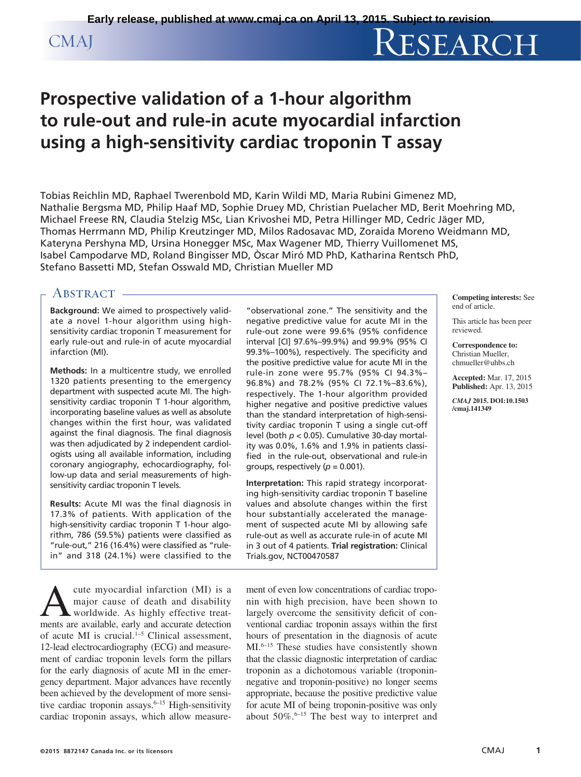# CMAJ RESEARCH

# **Prospective validation of a 1-hour algorithm to rule-out and rule-in acute myocardial infarction using a high-sensitivity cardiac troponin T assay**

Tobias Reichlin MD, Raphael Twerenbold MD, Karin Wildi MD, Maria Rubini Gimenez MD, Nathalie Bergsma MD, Philip Haaf MD, Sophie Druey MD, Christian Puelacher MD, Berit Moehring MD, Michael Freese RN, Claudia Stelzig MSc, Lian Krivoshei MD, Petra Hillinger MD, Cedric Jäger MD, Thomas Herrmann MD, Philip Kreutzinger MD, Milos Radosavac MD, Zoraida Moreno Weidmann MD, Kateryna Pershyna MD, Ursina Honegger MSc, Max Wagener MD, Thierry Vuillomenet MS, Isabel Campodarve MD, Roland Bingisser MD, Òscar Miró MD PhD, Katharina Rentsch PhD, Stefano Bassetti MD, Stefan Osswald MD, Christian Mueller MD

# ABSTRACT -

**Background:** We aimed to prospectively validate a novel 1-hour algorithm using high-sensitivity cardiac troponin T measurement for early rule-out and rule-in of acute myocardial infarction (MI).

**Methods:** In a multicentre study, we enrolled 1320 patients presenting to the emergency department with suspected acute MI. The highsensitivity cardiac troponin T 1-hour algorithm, incorporating baseline values as well as absolute changes within the first hour, was validated against the final diagnosis. The final diagnosis was then adjudicated by 2 independent cardiologists using all available information, including coronary angiography, echocardiography, follow-up data and serial measurements of highsensitivity cardiac troponin T levels.

**Results:** Acute MI was the final diagnosis in 17.3% of patients. With application of the high-sensitivity cardiac troponin T 1-hour algorithm, 786 (59.5%) patients were classified as "rule-out," 216 (16.4%) were classified as "rulein" and 318 (24.1%) were classified to the

A cute myocardial infarction (MI) is a major cause of death and disability worldwide. As highly effective treatmajor cause of death and disability ments are available, early and accurate detection of acute MI is crucial.1–5 Clinical assessment, 12-lead electrocardiography (ECG) and measurement of cardiac troponin levels form the pillars for the early diagnosis of acute MI in the emergency department. Major advances have recently been achieved by the development of more sensitive cardiac troponin assays.<sup>6-15</sup> High-sensitivity cardiac troponin assays, which allow measure-

"observational zone." The sensitivity and the negative predictive value for acute MI in the rule-out zone were 99.6% (95% confidence interval [CI] 97.6%–99.9%) and 99.9% (95% CI 99.3%–100%), respectively. The specificity and the positive predictive value for acute MI in the rule-in zone were 95.7% (95% CI 94.3%– 96.8%) and 78.2% (95% CI 72.1%–83.6%), respectively. The 1-hour algorithm provided higher negative and positive predictive values than the standard interpretation of high-sensitivity cardiac troponin T using a single cut-off level (both *p* < 0.05). Cumulative 30-day mortality was 0.0%, 1.6% and 1.9% in patients classified in the rule-out, observational and rule-in groups, respectively  $(p = 0.001)$ .

**Interpretation:** This rapid strategy incorporating high-sensitivity cardiac troponin T baseline values and absolute changes within the first hour substantially accelerated the management of suspected acute MI by allowing safe rule-out as well as accurate rule-in of acute MI in 3 out of 4 patients. **Trial registration:** Clinical Trials.gov, NCT00470587

**Competing interests:** See end of article.

This article has been peer reviewed.

**Correspondence to:** Christian Mueller, chmueller@uhbs.ch

**Accepted:** Mar. 17, 2015 **Published:** Apr. 13, 2015

*CMAJ* **2015. DOI:10.1503 /cmaj.141349**

ment of even low concentrations of cardiac troponin with high precision, have been shown to largely overcome the sensitivity deficit of conventional cardiac troponin assays within the first hours of presentation in the diagnosis of acute MI.<sup>6-15</sup> These studies have consistently shown that the classic diagnostic interpretation of cardiac troponin as a dichotomous variable (troponinnegative and troponin-positive) no longer seems appropriate, because the positive predictive value for acute MI of being troponin-positive was only about  $50\%$ .<sup>6-15</sup> The best way to interpret and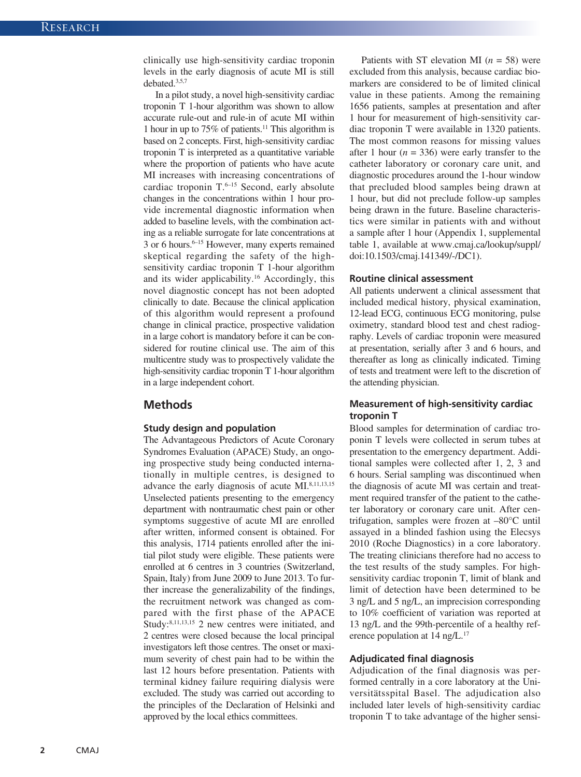clinically use high-sensitivity cardiac troponin levels in the early diagnosis of acute MI is still debated.3,5,7

In a pilot study, a novel high-sensitivity cardiac troponin T 1-hour algorithm was shown to allow accurate rule-out and rule-in of acute MI within 1 hour in up to 75% of patients.11 This algorithm is based on 2 concepts. First, high-sensitivity cardiac troponin T is interpreted as a quantitative variable where the proportion of patients who have acute MI increases with increasing concentrations of cardiac troponin T.<sup>6-15</sup> Second, early absolute changes in the concentrations within 1 hour provide incremental diagnostic information when added to baseline levels, with the combination acting as a reliable surrogate for late concentrations at  $3$  or 6 hours.<sup>6–15</sup> However, many experts remained skeptical regarding the safety of the highsensitivity cardiac troponin T 1-hour algorithm and its wider applicability.16 Accordingly, this novel diagnostic concept has not been adopted clinically to date. Because the clinical application of this algorithm would represent a profound change in clinical practice, prospective validation in a large cohort is mandatory before it can be considered for routine clinical use. The aim of this multicentre study was to prospectively validate the high-sensitivity cardiac troponin T 1-hour algorithm in a large independent cohort.

# **Methods**

#### **Study design and population**

The Advantageous Predictors of Acute Coronary Syndromes Evaluation (APACE) Study, an ongoing prospective study being conducted internationally in multiple centres, is designed to advance the early diagnosis of acute MI.8,11,13,15 Unselected patients presenting to the emergency department with nontraumatic chest pain or other symptoms suggestive of acute MI are enrolled after written, informed consent is obtained. For this analysis, 1714 patients enrolled after the initial pilot study were eligible. These patients were enrolled at 6 centres in 3 countries (Switzerland, Spain, Italy) from June 2009 to June 2013. To further increase the generalizability of the findings, the recruitment network was changed as compared with the first phase of the APACE Study:8,11,13,15 2 new centres were initiated, and 2 centres were closed because the local principal investigators left those centres. The onset or maximum severity of chest pain had to be within the last 12 hours before presentation. Patients with terminal kidney failure requiring dialysis were excluded. The study was carried out according to the principles of the Declaration of Helsinki and approved by the local ethics committees.

Patients with ST elevation MI (*n* = 58) were excluded from this analysis, because cardiac biomarkers are considered to be of limited clinical value in these patients. Among the remaining 1656 patients, samples at presentation and after 1 hour for measurement of high-sensitivity cardiac troponin T were available in 1320 patients. The most common reasons for missing values after 1 hour  $(n = 336)$  were early transfer to the catheter laboratory or coronary care unit, and diagnostic procedures around the 1-hour window that precluded blood samples being drawn at 1 hour, but did not preclude follow-up samples being drawn in the future. Baseline characteristics were similar in patients with and without a sample after 1 hour (Appendix 1, supplemental table 1, available at www.cmaj.ca/lookup/suppl/ doi:10.1503/cmaj.141349/-/DC1).

#### **Routine clinical assessment**

All patients underwent a clinical assessment that included medical history, physical examination, 12-lead ECG, continuous ECG monitoring, pulse oximetry, standard blood test and chest radiography. Levels of cardiac troponin were measured at presentation, serially after 3 and 6 hours, and thereafter as long as clinically indicated. Timing of tests and treatment were left to the discretion of the attending physician.

# **Measurement of high-sensitivity cardiac troponin T**

Blood samples for determination of cardiac troponin T levels were collected in serum tubes at presentation to the emergency department. Additional samples were collected after 1, 2, 3 and 6 hours. Serial sampling was discontinued when the diagnosis of acute MI was certain and treatment required transfer of the patient to the catheter laboratory or coronary care unit. After centrifugation, samples were frozen at –80°C until assayed in a blinded fashion using the Elecsys 2010 (Roche Diagnostics) in a core laboratory. The treating clinicians therefore had no access to the test results of the study samples. For highsensitivity cardiac troponin T, limit of blank and limit of detection have been determined to be 3 ng/L and 5 ng/L, an imprecision corresponding to 10% coefficient of variation was reported at 13 ng/L and the 99th-percentile of a healthy reference population at 14 ng/L.<sup>17</sup>

#### **Adjudicated final diagnosis**

Adjudication of the final diagnosis was performed centrally in a core laboratory at the Universitätsspital Basel. The adjudication also included later levels of high-sensitivity cardiac troponin T to take advantage of the higher sensi-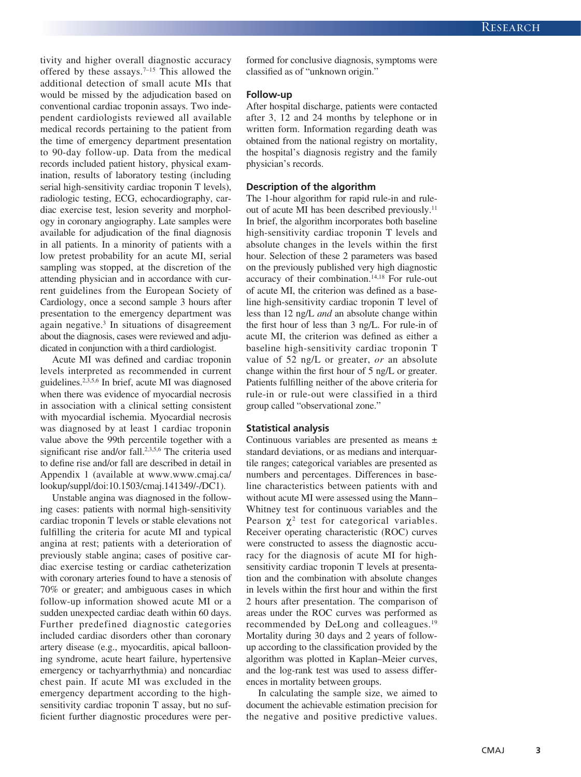tivity and higher overall diagnostic accuracy offered by these assays.<sup>7-15</sup> This allowed the additional detection of small acute MIs that would be missed by the adjudication based on conventional cardiac troponin assays. Two independent cardiologists reviewed all available medical records pertaining to the patient from the time of emergency department presentation to 90-day follow-up. Data from the medical records included patient history, physical examination, results of laboratory testing (including serial high-sensitivity cardiac troponin T levels), radiologic testing, ECG, echocardiography, cardiac exercise test, lesion severity and morphology in coronary angiography. Late samples were available for adjudication of the final diagnosis in all patients. In a minority of patients with a low pretest probability for an acute MI, serial sampling was stopped, at the discretion of the attending physician and in accordance with current guidelines from the European Society of Cardiology, once a second sample 3 hours after presentation to the emergency department was again negative.3 In situations of disagreement about the diagnosis, cases were reviewed and adjudicated in conjunction with a third cardiologist.

Acute MI was defined and cardiac troponin levels interpreted as recommended in current guidelines.2,3,5,6 In brief, acute MI was diagnosed when there was evidence of myocardial necrosis in association with a clinical setting consistent with myocardial ischemia. Myocardial necrosis was diagnosed by at least 1 cardiac troponin value above the 99th percentile together with a significant rise and/or fall.<sup>2,3,5,6</sup> The criteria used to define rise and/or fall are described in detail in Appendix 1 (available at www.www.cmaj.ca/ lookup/suppl/doi:10.1503/cmaj.141349/-/DC1).

Unstable angina was diagnosed in the following cases: patients with normal high-sensitivity cardiac troponin T levels or stable elevations not fulfilling the criteria for acute MI and typical angina at rest; patients with a deterioration of previously stable angina; cases of positive cardiac exercise testing or cardiac catheterization with coronary arteries found to have a stenosis of 70% or greater; and ambiguous cases in which follow-up information showed acute MI or a sudden unexpected cardiac death within 60 days. Further predefined diagnostic categories included cardiac disorders other than coronary artery disease (e.g., myocarditis, apical ballooning syndrome, acute heart failure, hypertensive emergency or tachyarrhythmia) and noncardiac chest pain. If acute MI was excluded in the emergency department according to the highsensitivity cardiac troponin T assay, but no sufficient further diagnostic procedures were performed for conclusive diagnosis, symptoms were classified as of "unknown origin."

#### **Follow-up**

After hospital discharge, patients were contacted after 3, 12 and 24 months by telephone or in written form. Information regarding death was obtained from the national registry on mortality, the hospital's diagnosis registry and the family physician's records.

#### **Description of the algorithm**

The 1-hour algorithm for rapid rule-in and ruleout of acute MI has been described previously.<sup>11</sup> In brief, the algorithm incorporates both baseline high-sensitivity cardiac troponin T levels and absolute changes in the levels within the first hour. Selection of these 2 parameters was based on the previously published very high diagnostic accuracy of their combination.14,18 For rule-out of acute MI, the criterion was defined as a baseline high-sensitivity cardiac troponin T level of less than 12 ng/L *and* an absolute change within the first hour of less than 3 ng/L. For rule-in of acute MI, the criterion was defined as either a baseline high-sensitivity cardiac troponin T value of 52 ng/L or greater, *or* an absolute change within the first hour of 5 ng/L or greater. Patients fulfilling neither of the above criteria for rule-in or rule-out were classified in a third group called "observational zone."

#### **Statistical analysis**

Continuous variables are presented as means ± standard deviations, or as medians and interquartile ranges; categorical variables are presented as numbers and percentages. Differences in baseline characteristics between patients with and without acute MI were assessed using the Mann– Whitney test for continuous variables and the Pearson  $\chi^2$  test for categorical variables. Receiver operating characteristic (ROC) curves were constructed to assess the diagnostic accuracy for the diagnosis of acute MI for highsensitivity cardiac troponin T levels at presentation and the combination with absolute changes in levels within the first hour and within the first 2 hours after presentation. The comparison of areas under the ROC curves was performed as recommended by DeLong and colleagues.19 Mortality during 30 days and 2 years of followup according to the classification provided by the algorithm was plotted in Kaplan–Meier curves, and the log-rank test was used to assess differences in mortality between groups.

In calculating the sample size, we aimed to document the achievable estimation precision for the negative and positive predictive values.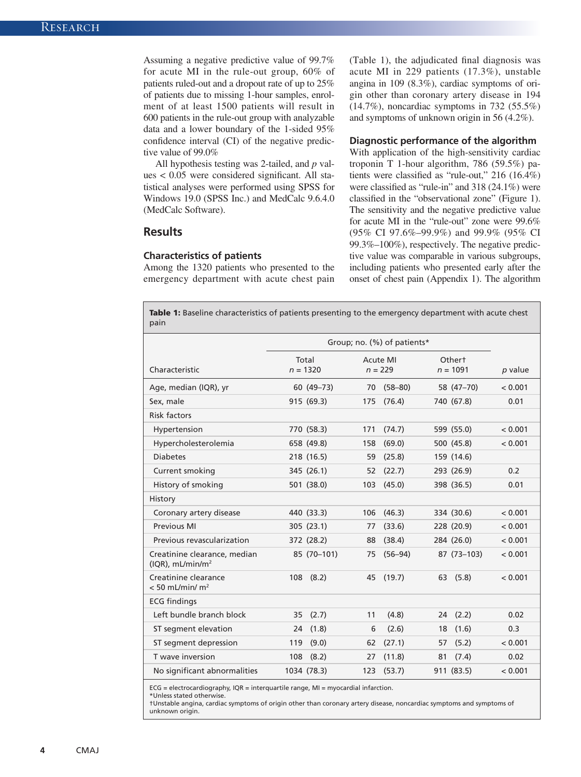Assuming a negative predictive value of 99.7% for acute MI in the rule-out group, 60% of patients ruled-out and a dropout rate of up to 25% of patients due to missing 1-hour samples, enrolment of at least 1500 patients will result in 600 patients in the rule-out group with analyzable data and a lower boundary of the 1-sided 95% confidence interval (CI) of the negative predictive value of 99.0%

All hypothesis testing was 2-tailed, and *p* values < 0.05 were considered significant. All statistical analyses were performed using SPSS for Windows 19.0 (SPSS Inc.) and MedCalc 9.6.4.0 (MedCalc Software).

# **Results**

#### **Characteristics of patients**

Among the 1320 patients who presented to the emergency department with acute chest pain (Table 1), the adjudicated final diagnosis was acute MI in 229 patients (17.3%), unstable angina in 109 (8.3%), cardiac symptoms of origin other than coronary artery disease in 194 (14.7%), noncardiac symptoms in 732 (55.5%) and symptoms of unknown origin in 56 (4.2%).

#### **Diagnostic performance of the algorithm**

With application of the high-sensitivity cardiac troponin T 1-hour algorithm, 786 (59.5%) patients were classified as "rule-out," 216 (16.4%) were classified as "rule-in" and 318 (24.1%) were classified in the "observational zone" (Figure 1). The sensitivity and the negative predictive value for acute MI in the "rule-out" zone were 99.6% (95% CI 97.6%–99.9%) and 99.9% (95% CI 99.3%–100%), respectively. The negative predictive value was comparable in various subgroups, including patients who presented early after the onset of chest pain (Appendix 1). The algorithm

Table 1: Baseline characteristics of patients presenting to the emergency department with acute chest pain

|                                                                 | Group; no. (%) of patients* |                       |                            |                  |
|-----------------------------------------------------------------|-----------------------------|-----------------------|----------------------------|------------------|
| Characteristic                                                  | Total<br>$n = 1320$         | Acute MI<br>$n = 229$ | Othert<br>$n = 1091$       | p value          |
| Age, median (IQR), yr                                           | 60 (49-73)                  | 70                    | $(58 - 80)$<br>58 (47-70)  | < 0.001          |
| Sex, male                                                       | 915 (69.3)                  | 175                   | (76.4)<br>740 (67.8)       | 0.01             |
| <b>Risk factors</b>                                             |                             |                       |                            |                  |
| Hypertension                                                    | 770 (58.3)                  | 171                   | (74.7)<br>599 (55.0)       | < 0.001          |
| Hypercholesterolemia                                            | 658 (49.8)                  | 158                   | (69.0)<br>500 (45.8)       | < 0.001          |
| <b>Diabetes</b>                                                 | 218 (16.5)                  | 59                    | (25.8)<br>159 (14.6)       |                  |
| Current smoking                                                 | 345 (26.1)                  | 52                    | (22.7)<br>293 (26.9)       | 0.2              |
| History of smoking                                              | 501 (38.0)                  | 103                   | (45.0)<br>398 (36.5)       | 0.01             |
| History                                                         |                             |                       |                            |                  |
| Coronary artery disease                                         | 440 (33.3)                  | 106                   | (46.3)<br>334 (30.6)       | < 0.001          |
| Previous MI                                                     | 305 (23.1)                  | 77                    | (33.6)<br>228 (20.9)       | < 0.001          |
| Previous revascularization                                      | 372 (28.2)                  | 88                    | (38.4)<br>284 (26.0)       | < 0.001          |
| Creatinine clearance, median<br>$(IQR)$ , mL/min/m <sup>2</sup> | 85 (70-101)                 | 75                    | $(56 - 94)$<br>87 (73-103) | < 0.001          |
| Creatinine clearance<br>$< 50$ mL/min/ m <sup>2</sup>           | $108$ $(8.2)$               | 45                    | (19.7)<br>(5.8)<br>63      | < 0.001          |
| <b>ECG findings</b>                                             |                             |                       |                            |                  |
| Left bundle branch block                                        | (2.7)<br>35                 | 11                    | (4.8)<br>24                | (2.2)<br>0.02    |
| ST segment elevation                                            | (1.8)<br>24                 | 6                     | (2.6)<br>18                | (1.6)<br>0.3     |
| ST segment depression                                           | (9.0)<br>119                | 62                    | (27.1)<br>57               | (5.2)<br>< 0.001 |
| T wave inversion                                                | (8.2)<br>108                | 27                    | (11.8)<br>81               | (7.4)<br>0.02    |
| No significant abnormalities                                    | 1034 (78.3)                 | 123                   | (53.7)<br>911 (83.5)       | < 0.001          |

ECG = electrocardiography, IQR = interquartile range, MI = myocardial infarction.

\*Unless stated otherwise.

†Unstable angina, cardiac symptoms of origin other than coronary artery disease, noncardiac symptoms and symptoms of unknown origin.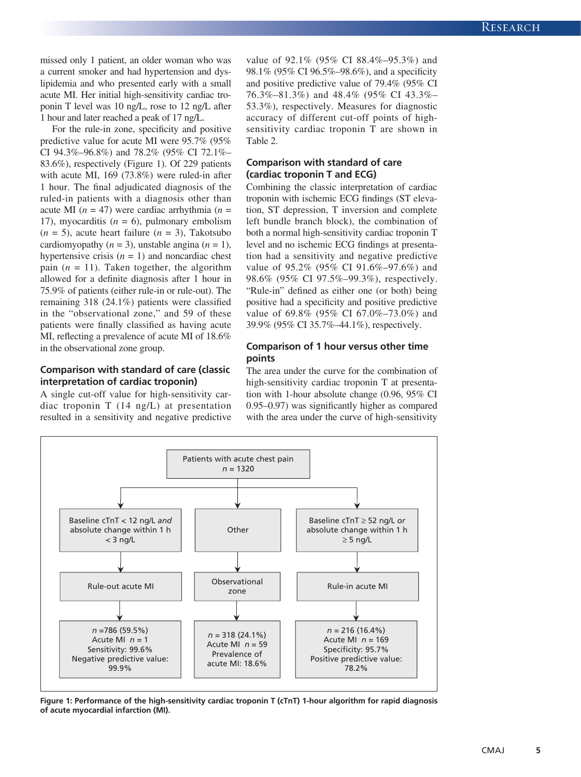missed only 1 patient, an older woman who was a current smoker and had hypertension and dyslipidemia and who presented early with a small acute MI. Her initial high-sensitivity cardiac troponin T level was 10 ng/L, rose to 12 ng/L after 1 hour and later reached a peak of 17 ng/L.

For the rule-in zone, specificity and positive predictive value for acute MI were 95.7% (95% CI 94.3%–96.8%) and 78.2% (95% CI 72.1%– 83.6%), respectively (Figure 1). Of 229 patients with acute MI, 169 (73.8%) were ruled-in after 1 hour. The final adjudicated diagnosis of the ruled-in patients with a diagnosis other than acute MI  $(n = 47)$  were cardiac arrhythmia  $(n = 17)$ 17), myocarditis  $(n = 6)$ , pulmonary embolism  $(n = 5)$ , acute heart failure  $(n = 3)$ , Takotsubo cardiomyopathy  $(n = 3)$ , unstable angina  $(n = 1)$ , hypertensive crisis  $(n = 1)$  and noncardiac chest pain  $(n = 11)$ . Taken together, the algorithm allowed for a definite diagnosis after 1 hour in 75.9% of patients (either rule-in or rule-out). The remaining 318 (24.1%) patients were classified in the "observational zone," and 59 of these patients were finally classified as having acute MI, reflecting a prevalence of acute MI of 18.6% in the observational zone group.

# **Comparison with standard of care (classic interpretation of cardiac troponin)**

A single cut-off value for high-sensitivity cardiac troponin T (14 ng/L) at presentation resulted in a sensitivity and negative predictive value of 92.1% (95% CI 88.4%–95.3%) and 98.1% (95% CI 96.5%–98.6%), and a specificity and positive predictive value of 79.4% (95% CI 76.3%–81.3%) and 48.4% (95% CI 43.3%– 53.3%), respectively. Measures for diagnostic accuracy of different cut-off points of highsensitivity cardiac troponin T are shown in Table 2.

# **Comparison with standard of care (cardiac troponin T and ECG)**

Combining the classic interpretation of cardiac troponin with ischemic ECG findings (ST elevation, ST depression, T inversion and complete left bundle branch block), the combination of both a normal high-sensitivity cardiac troponin T level and no ischemic ECG findings at presentation had a sensitivity and negative predictive value of 95.2% (95% CI 91.6%–97.6%) and 98.6% (95% CI 97.5%–99.3%), respectively. "Rule-in" defined as either one (or both) being positive had a specificity and positive predictive value of 69.8% (95% CI 67.0%–73.0%) and 39.9% (95% CI 35.7%–44.1%), respectively.

# **Comparison of 1 hour versus other time points**

The area under the curve for the combination of high-sensitivity cardiac troponin T at presentation with 1-hour absolute change (0.96, 95% CI 0.95–0.97) was significantly higher as compared with the area under the curve of high-sensitivity



**Figure 1: Performance of the high-sensitivity cardiac troponin T (cTnT) 1-hour algorithm for rapid diagnosis of acute myocardial infarction (MI).**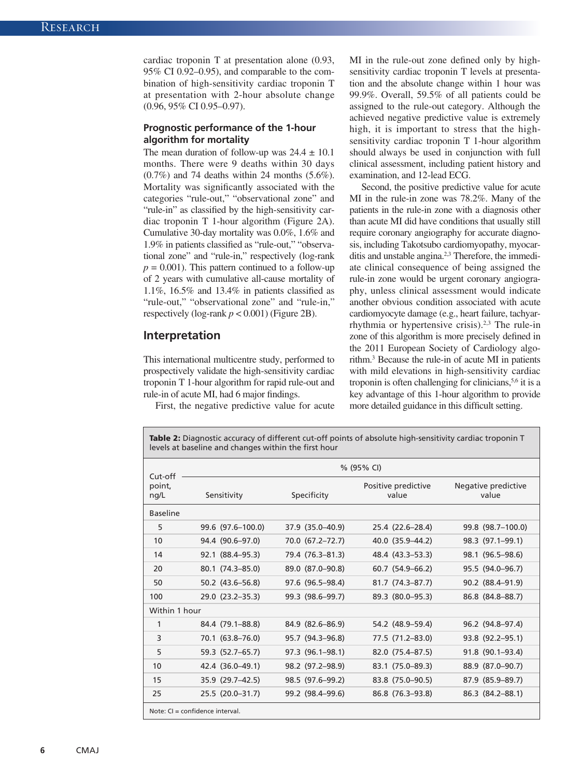cardiac troponin T at presentation alone (0.93, 95% CI 0.92–0.95), and comparable to the combination of high-sensitivity cardiac troponin T at presentation with 2-hour absolute change (0.96, 95% CI 0.95–0.97).

## **Prognostic performance of the 1-hour algorithm for mortality**

The mean duration of follow-up was  $24.4 \pm 10.1$ months. There were 9 deaths within 30 days (0.7%) and 74 deaths within 24 months (5.6%). Mortality was significantly associated with the categories "rule-out," "observational zone" and "rule-in" as classified by the high-sensitivity cardiac troponin T 1-hour algorithm (Figure 2A). Cumulative 30-day mortality was 0.0%, 1.6% and 1.9% in patients classified as "rule-out," "observational zone" and "rule-in," respectively (log-rank  $p = 0.001$ ). This pattern continued to a follow-up of 2 years with cumulative all-cause mortality of 1.1%, 16.5% and 13.4% in patients classified as "rule-out," "observational zone" and "rule-in," respectively (log-rank  $p < 0.001$ ) (Figure 2B).

# **Interpretation**

This international multicentre study, performed to prospectively validate the high-sensitivity cardiac troponin T 1-hour algorithm for rapid rule-out and rule-in of acute MI, had 6 major findings.

First, the negative predictive value for acute

MI in the rule-out zone defined only by highsensitivity cardiac troponin T levels at presentation and the absolute change within 1 hour was 99.9%. Overall, 59.5% of all patients could be assigned to the rule-out category. Although the achieved negative predictive value is extremely high, it is important to stress that the highsensitivity cardiac troponin T 1-hour algorithm should always be used in conjunction with full clinical assessment, including patient history and examination, and 12-lead ECG.

Second, the positive predictive value for acute MI in the rule-in zone was 78.2%. Many of the patients in the rule-in zone with a diagnosis other than acute MI did have conditions that usually still require coronary angiography for accurate diagnosis, including Takotsubo cardiomyopathy, myocarditis and unstable angina.2,3 Therefore, the immediate clinical consequence of being assigned the rule-in zone would be urgent coronary angiography, unless clinical assessment would indicate another obvious condition associated with acute cardiomyocyte damage (e.g., heart failure, tachyarrhythmia or hypertensive crisis).2,3 The rule-in zone of this algorithm is more precisely defined in the 2011 European Society of Cardiology algorithm.3 Because the rule-in of acute MI in patients with mild elevations in high-sensitivity cardiac troponin is often challenging for clinicians,  $5,6$  it is a key advantage of this 1-hour algorithm to provide more detailed guidance in this difficult setting.

Table 2: Diagnostic accuracy of different cut-off points of absolute high-sensitivity cardiac troponin T levels at baseline and changes within the first hour

| Cut-off                           | % (95% CI)              |                  |                              |                              |  |  |  |
|-----------------------------------|-------------------------|------------------|------------------------------|------------------------------|--|--|--|
| point,<br>nq/L                    | Sensitivity             | Specificity      | Positive predictive<br>value | Negative predictive<br>value |  |  |  |
| <b>Baseline</b>                   |                         |                  |                              |                              |  |  |  |
| 5                                 | $99.6$ $(97.6 - 100.0)$ | 37.9 (35.0-40.9) | 25.4 (22.6–28.4)             | 99.8 (98.7-100.0)            |  |  |  |
| 10                                | 94.4 (90.6-97.0)        | 70.0 (67.2–72.7) | 40.0 (35.9–44.2)             | 98.3 (97.1-99.1)             |  |  |  |
| 14                                | 92.1 (88.4-95.3)        | 79.4 (76.3-81.3) | 48.4 (43.3–53.3)             | 98.1 (96.5–98.6)             |  |  |  |
| 20                                | 80.1 (74.3-85.0)        | 89.0 (87.0-90.8) | $60.7$ $(54.9 - 66.2)$       | 95.5 (94.0-96.7)             |  |  |  |
| 50                                | $50.2$ (43.6-56.8)      | 97.6 (96.5–98.4) | 81.7 (74.3-87.7)             | 90.2 (88.4-91.9)             |  |  |  |
| 100                               | 29.0 (23.2-35.3)        | 99.3 (98.6–99.7) | 89.3 (80.0-95.3)             | 86.8 (84.8-88.7)             |  |  |  |
| Within 1 hour                     |                         |                  |                              |                              |  |  |  |
| 1                                 | 84.4 (79.1–88.8)        | 84.9 (82.6–86.9) | 54.2 (48.9–59.4)             | 96.2 (94.8-97.4)             |  |  |  |
| 3                                 | 70.1 (63.8–76.0)        | 95.7 (94.3–96.8) | 77.5 (71.2-83.0)             | 93.8 (92.2-95.1)             |  |  |  |
| 5                                 | 59.3 (52.7–65.7)        | 97.3 (96.1-98.1) | 82.0 (75.4-87.5)             | 91.8 (90.1-93.4)             |  |  |  |
| 10                                | 42.4 (36.0–49.1)        | 98.2 (97.2-98.9) | 83.1 (75.0–89.3)             | 88.9 (87.0-90.7)             |  |  |  |
| 15                                | 35.9 (29.7–42.5)        | 98.5 (97.6–99.2) | 83.8 (75.0–90.5)             | 87.9 (85.9–89.7)             |  |  |  |
| 25                                | 25.5 (20.0-31.7)        | 99.2 (98.4-99.6) | 86.8 (76.3-93.8)             | 86.3 (84.2-88.1)             |  |  |  |
| Note: $CI = confidence$ interval. |                         |                  |                              |                              |  |  |  |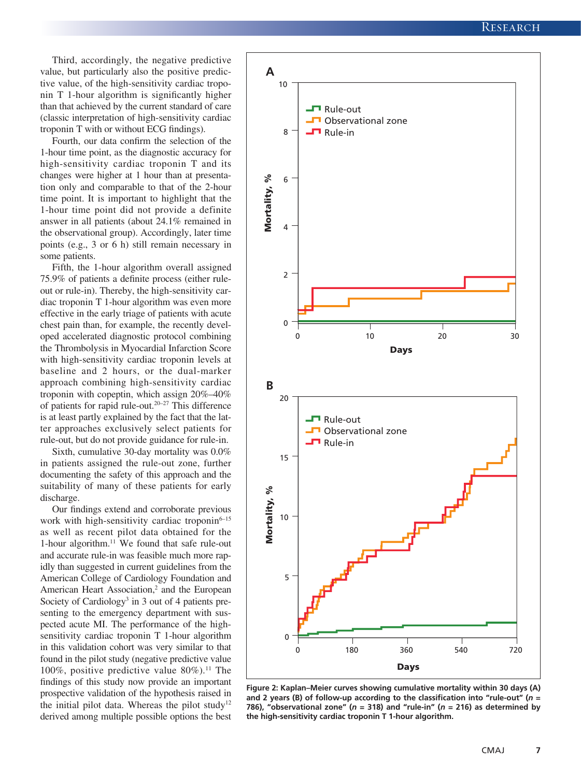Third, accordingly, the negative predictive value, but particularly also the positive predictive value, of the high-sensitivity cardiac troponin T 1-hour algorithm is significantly higher than that achieved by the current standard of care (classic interpretation of high-sensitivity cardiac troponin T with or without ECG findings).

Fourth, our data confirm the selection of the 1-hour time point, as the diagnostic accuracy for high-sensitivity cardiac troponin T and its changes were higher at 1 hour than at presentation only and comparable to that of the 2-hour time point. It is important to highlight that the 1-hour time point did not provide a definite answer in all patients (about 24.1% remained in the observational group). Accordingly, later time points (e.g., 3 or 6 h) still remain necessary in some patients.

Fifth, the 1-hour algorithm overall assigned 75.9% of patients a definite process (either ruleout or rule-in). Thereby, the high-sensitivity cardiac troponin T 1-hour algorithm was even more effective in the early triage of patients with acute chest pain than, for example, the recently developed accelerated diagnostic protocol combining the Thrombolysis in Myocardial Infarction Score with high-sensitivity cardiac troponin levels at baseline and 2 hours, or the dual-marker approach combining high-sensitivity cardiac troponin with copeptin, which assign 20%–40% of patients for rapid rule-out.20–27 This difference is at least partly explained by the fact that the latter approaches exclusively select patients for rule-out, but do not provide guidance for rule-in.

Sixth, cumulative 30-day mortality was 0.0% in patients assigned the rule-out zone, further documenting the safety of this approach and the suitability of many of these patients for early discharge.

Our findings extend and corroborate previous work with high-sensitivity cardiac troponin6-15 as well as recent pilot data obtained for the 1-hour algorithm.11 We found that safe rule-out and accurate rule-in was feasible much more rapidly than suggested in current guidelines from the American College of Cardiology Foundation and American Heart Association,<sup>2</sup> and the European Society of Cardiology<sup>3</sup> in 3 out of 4 patients presenting to the emergency department with suspected acute MI. The performance of the highsensitivity cardiac troponin T 1-hour algorithm in this validation cohort was very similar to that found in the pilot study (negative predictive value 100%, positive predictive value  $80\%$ ).<sup>11</sup> The findings of this study now provide an important prospective validation of the hypothesis raised in the initial pilot data. Whereas the pilot study<sup>12</sup> derived among multiple possible options the best



**Figure 2: Kaplan–Meier curves showing cumulative mortality within 30 days (A) and 2 years (B) of follow-up according to the classification into "rule-out" (***n* **=**  786), "observational zone" ( $n = 318$ ) and "rule-in" ( $n = 216$ ) as determined by **the high-sensitivity cardiac troponin T 1-hour algorithm.**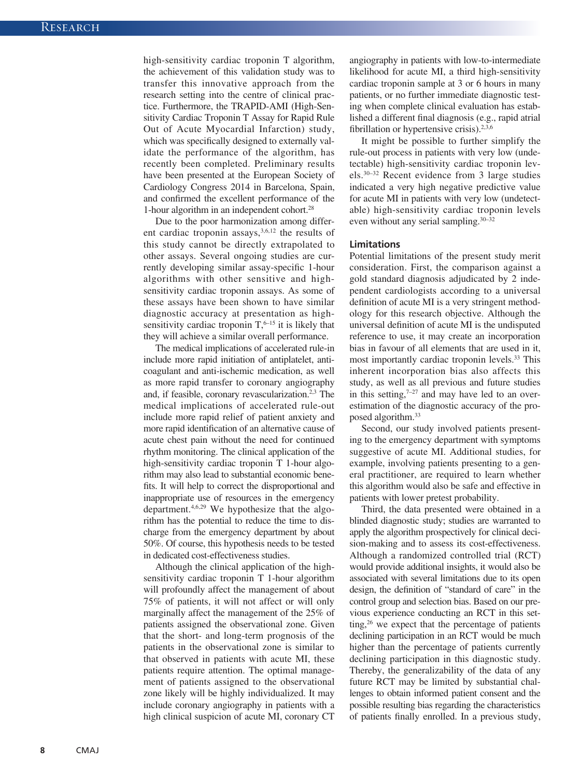high-sensitivity cardiac troponin T algorithm, the achievement of this validation study was to transfer this innovative approach from the research setting into the centre of clinical practice. Furthermore, the TRAPID-AMI (High-Sensitivity Cardiac Troponin T Assay for Rapid Rule Out of Acute Myocardial Infarction) study, which was specifically designed to externally validate the performance of the algorithm, has recently been completed. Preliminary results have been presented at the European Society of Cardiology Congress 2014 in Barcelona, Spain, and confirmed the excellent performance of the 1-hour algorithm in an independent cohort.28

Due to the poor harmonization among different cardiac troponin assays,<sup>3,6,12</sup> the results of this study cannot be directly extrapolated to other assays. Several ongoing studies are currently developing similar assay-specific 1-hour algorithms with other sensitive and highsensitivity cardiac troponin assays. As some of these assays have been shown to have similar diagnostic accuracy at presentation as highsensitivity cardiac troponin  $T$ , <sup>6–15</sup> it is likely that they will achieve a similar overall performance.

The medical implications of accelerated rule-in include more rapid initiation of antiplatelet, anticoagulant and anti-ischemic medication, as well as more rapid transfer to coronary angiography and, if feasible, coronary revascularization.<sup>2,3</sup> The medical implications of accelerated rule-out include more rapid relief of patient anxiety and more rapid identification of an alternative cause of acute chest pain without the need for continued rhythm monitoring. The clinical application of the high-sensitivity cardiac troponin T 1-hour algorithm may also lead to substantial economic benefits. It will help to correct the disproportional and inappropriate use of resources in the emergency department.4,6,29 We hypothesize that the algorithm has the potential to reduce the time to discharge from the emergency department by about 50%. Of course, this hypothesis needs to be tested in dedicated cost-effectiveness studies.

Although the clinical application of the highsensitivity cardiac troponin T 1-hour algorithm will profoundly affect the management of about 75% of patients, it will not affect or will only marginally affect the management of the 25% of patients assigned the observational zone. Given that the short- and long-term prognosis of the patients in the observational zone is similar to that observed in patients with acute MI, these patients require attention. The optimal management of patients assigned to the observational zone likely will be highly individualized. It may include coronary angiography in patients with a high clinical suspicion of acute MI, coronary CT angiography in patients with low-to-intermediate likelihood for acute MI, a third high-sensitivity cardiac troponin sample at 3 or 6 hours in many patients, or no further immediate diagnostic testing when complete clinical evaluation has established a different final diagnosis (e.g., rapid atrial fibrillation or hypertensive crisis). $2,3,6$ 

It might be possible to further simplify the rule-out process in patients with very low (undetectable) high-sensitivity cardiac troponin levels.30–32 Recent evidence from 3 large studies indicated a very high negative predictive value for acute MI in patients with very low (undetectable) high-sensitivity cardiac troponin levels even without any serial sampling.30–32

## **Limitations**

Potential limitations of the present study merit consideration. First, the comparison against a gold standard diagnosis adjudicated by 2 independent cardiologists according to a universal definition of acute MI is a very stringent methodology for this research objective. Although the universal definition of acute MI is the undisputed reference to use, it may create an incorporation bias in favour of all elements that are used in it, most importantly cardiac troponin levels.<sup>33</sup> This inherent incorporation bias also affects this study, as well as all previous and future studies in this setting, $7-27$  and may have led to an overestimation of the diagnostic accuracy of the proposed algorithm.<sup>33</sup>

Second, our study involved patients presenting to the emergency department with symptoms suggestive of acute MI. Additional studies, for example, involving patients presenting to a general practitioner, are required to learn whether this algorithm would also be safe and effective in patients with lower pretest probability.

Third, the data presented were obtained in a blinded diagnostic study; studies are warranted to apply the algorithm prospectively for clinical decision-making and to assess its cost-effectiveness. Although a randomized controlled trial (RCT) would provide additional insights, it would also be associated with several limitations due to its open design, the definition of "standard of care" in the control group and selection bias. Based on our previous experience conducting an RCT in this setting,26 we expect that the percentage of patients declining participation in an RCT would be much higher than the percentage of patients currently declining participation in this diagnostic study. Thereby, the generalizability of the data of any future RCT may be limited by substantial challenges to obtain informed patient consent and the possible resulting bias regarding the characteristics of patients finally enrolled. In a previous study,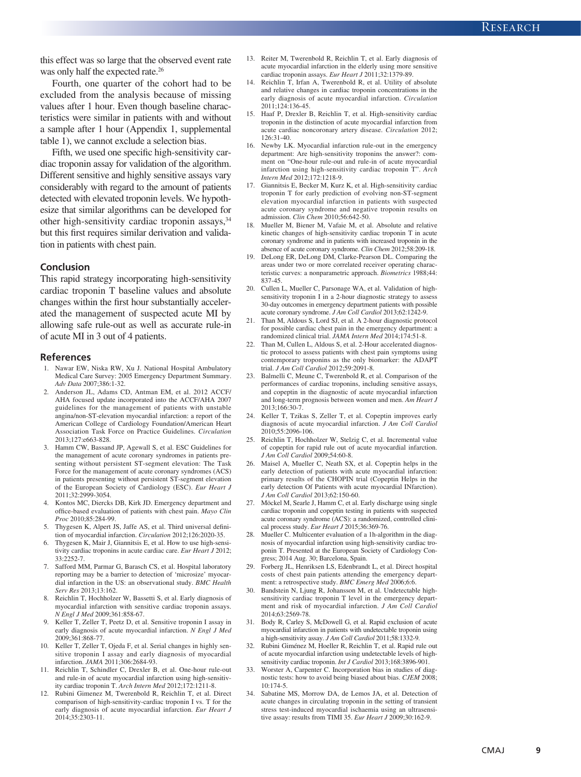this effect was so large that the observed event rate was only half the expected rate.<sup>26</sup>

Fourth, one quarter of the cohort had to be excluded from the analysis because of missing values after 1 hour. Even though baseline characteristics were similar in patients with and without a sample after 1 hour (Appendix 1, supplemental table 1), we cannot exclude a selection bias.

Fifth, we used one specific high-sensitivity cardiac troponin assay for validation of the algorithm. Different sensitive and highly sensitive assays vary considerably with regard to the amount of patients detected with elevated troponin levels. We hypothesize that similar algorithms can be developed for other high-sensitivity cardiac troponin assays, 34 but this first requires similar derivation and validation in patients with chest pain.

#### **Conclusion**

This rapid strategy incorporating high-sensitivity cardiac troponin T baseline values and absolute changes within the first hour substantially accelerated the management of suspected acute MI by allowing safe rule-out as well as accurate rule-in of acute MI in 3 out of 4 patients.

#### **References**

- 1. Nawar EW, Niska RW, Xu J. National Hospital Ambulatory Medical Care Survey: 2005 Emergency Department Summary. *Adv Data* 2007;386:1-32.
- 2. Anderson JL, Adams CD, Antman EM, et al. 2012 ACCF/ AHA focused update incorporated into the ACCF/AHA 2007 guidelines for the management of patients with unstable angina/non-ST-elevation myocardial infarction: a report of the American College of Cardiology Foundation/American Heart Association Task Force on Practice Guidelines. *Circulation* 2013;127:e663-828.
- Hamm CW, Bassand JP, Agewall S, et al. ESC Guidelines for the management of acute coronary syndromes in patients presenting without persistent ST-segment elevation: The Task Force for the management of acute coronary syndromes (ACS) in patients presenting without persistent ST-segment elevation of the European Society of Cardiology (ESC). *Eur Heart J* 2011;32:2999-3054.
- 4. Kontos MC, Diercks DB, Kirk JD. Emergency department and office-based evaluation of patients with chest pain. *Mayo Clin Proc* 2010;85:284-99.
- 5. Thygesen K, Alpert JS, Jaffe AS, et al. Third universal definition of myocardial infarction. *Circulation* 2012;126:2020-35.
- Thygesen K, Mair J, Giannitsis E, et al. How to use high-sensitivity cardiac troponins in acute cardiac care. *Eur Heart J* 2012; 33:2252-7.
- Safford MM, Parmar G, Barasch CS, et al. Hospital laboratory reporting may be a barrier to detection of 'microsize' myocardial infarction in the US: an observational study. *BMC Health Serv Res* 2013;13:162.
- 8. Reichlin T, Hochholzer W, Bassetti S, et al. Early diagnosis of myocardial infarction with sensitive cardiac troponin assays. *N Engl J Med* 2009;361:858-67.
- 9. Keller T, Zeller T, Peetz D, et al. Sensitive troponin I assay in early diagnosis of acute myocardial infarction. *N Engl J Med* 2009;361:868-77.
- 10. Keller T, Zeller T, Ojeda F, et al. Serial changes in highly sensitive troponin I assay and early diagnosis of myocardial infarction. *JAMA* 2011;306:2684-93.
- 11. Reichlin T, Schindler C, Drexler B, et al. One-hour rule-out and rule-in of acute myocardial infarction using high-sensitivity cardiac troponin T. *Arch Intern Med* 2012;172:1211-8.
- 12. Rubini Gimenez M, Twerenbold R, Reichlin T, et al. Direct comparison of high-sensitivity-cardiac troponin I vs. T for the early diagnosis of acute myocardial infarction. *Eur Heart J* 2014;35:2303-11.
- 13. Reiter M, Twerenbold R, Reichlin T, et al. Early diagnosis of acute myocardial infarction in the elderly using more sensitive cardiac troponin assays. *Eur Heart J* 2011;32:1379-89.
- 14. Reichlin T, Irfan A, Twerenbold R, et al. Utility of absolute and relative changes in cardiac troponin concentrations in the early diagnosis of acute myocardial infarction. *Circulation* 2011;124:136-45.
- Haaf P, Drexler B, Reichlin T, et al. High-sensitivity cardiac troponin in the distinction of acute myocardial infarction from acute cardiac noncoronary artery disease. *Circulation* 2012; 126:31-40.
- 16. Newby LK. Myocardial infarction rule-out in the emergency department: Are high-sensitivity troponins the answer?: comment on "One-hour rule-out and rule-in of acute myocardial infarction using high-sensitivity cardiac troponin T". *Arch Intern Med* 2012;172:1218-9.
- 17. Giannitsis E, Becker M, Kurz K, et al. High-sensitivity cardiac troponin T for early prediction of evolving non-ST-segment elevation myocardial infarction in patients with suspected acute coronary syndrome and negative troponin results on admission. *Clin Chem* 2010;56:642-50.
- Mueller M, Biener M, Vafaie M, et al. Absolute and relative kinetic changes of high-sensitivity cardiac troponin T in acute coronary syndrome and in patients with increased troponin in the absence of acute coronary syndrome. *Clin Chem* 2012;58:209-18.
- 19. DeLong ER, DeLong DM, Clarke-Pearson DL. Comparing the areas under two or more correlated receiver operating characteristic curves: a nonparametric approach. *Biometrics* 1988;44: 837-45.
- 20. Cullen L, Mueller C, Parsonage WA, et al. Validation of highsensitivity troponin I in a 2-hour diagnostic strategy to assess 30-day outcomes in emergency department patients with possible acute coronary syndrome. *J Am Coll Cardiol* 2013;62:1242-9.
- 21. Than M, Aldous S, Lord SJ, et al. A 2-hour diagnostic protocol for possible cardiac chest pain in the emergency department: a randomized clinical trial. *JAMA Intern Med* 2014;174:51-8.
- 22. Than M, Cullen L, Aldous S, et al. 2-Hour accelerated diagnostic protocol to assess patients with chest pain symptoms using contemporary troponins as the only biomarker: the ADAPT trial. *J Am Coll Cardiol* 2012;59:2091-8.
- 23. Balmelli C, Meune C, Twerenbold R, et al. Comparison of the performances of cardiac troponins, including sensitive assays, and copeptin in the diagnostic of acute myocardial infarction and long-term prognosis between women and men. *Am Heart J*  $2013:166:30-7$
- 24. Keller T, Tzikas S, Zeller T, et al. Copeptin improves early diagnosis of acute myocardial infarction. *J Am Coll Cardiol* 2010;55:2096-106.
- 25. Reichlin T, Hochholzer W, Stelzig C, et al. Incremental value of copeptin for rapid rule out of acute myocardial infarction. *J Am Coll Cardiol* 2009;54:60-8.
- 26. Maisel A, Mueller C, Neath SX, et al. Copeptin helps in the early detection of patients with acute myocardial infarction: primary results of the CHOPIN trial (Copeptin Helps in the early detection Of Patients with acute myocardial INfarction). *J Am Coll Cardiol* 2013;62:150-60.
- 27. Möckel M, Searle J, Hamm C, et al. Early discharge using single cardiac troponin and copeptin testing in patients with suspected acute coronary syndrome (ACS): a randomized, controlled clinical process study. *Eur Heart J* 2015;36:369-76.
- 28. Mueller C. Multicenter evaluation of a 1h-algorithm in the diagnosis of myocardial infarction using high-sensitivity cardiac troponin T. Presented at the European Society of Cardiology Congress; 2014 Aug. 30; Barcelona, Spain.
- 29. Forberg JL, Henriksen LS, Edenbrandt L, et al. Direct hospital costs of chest pain patients attending the emergency department: a retrospective study. *BMC Emerg Med* 2006;6:6.
- Bandstein N, Ljung R, Johansson M, et al. Undetectable highsensitivity cardiac troponin T level in the emergency department and risk of myocardial infarction. *J Am Coll Cardiol* 2014;63:2569-78.
- 31. Body R, Carley S, McDowell G, et al. Rapid exclusion of acute myocardial infarction in patients with undetectable troponin using a high-sensitivity assay. *J Am Coll Cardiol* 2011;58:1332-9.
- 32. Rubini Giménez M, Hoeller R, Reichlin T, et al. Rapid rule out of acute myocardial infarction using undetectable levels of highsensitivity cardiac troponin. *Int J Cardiol* 2013;168:3896-901.
- 33. Worster A, Carpenter C. Incorporation bias in studies of diagnostic tests: how to avoid being biased about bias. *CJEM* 2008;  $10.174 - 5$
- 34. Sabatine MS, Morrow DA, de Lemos JA, et al. Detection of acute changes in circulating troponin in the setting of transient stress test-induced myocardial ischaemia using an ultrasensitive assay: results from TIMI 35. *Eur Heart J* 2009;30:162-9.